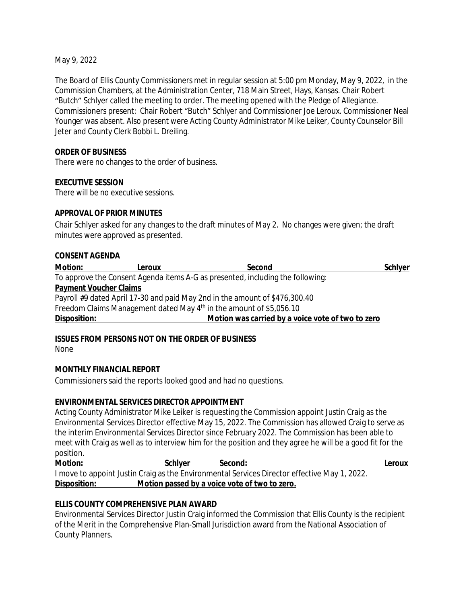May 9, 2022

The Board of Ellis County Commissioners met in regular session at 5:00 pm Monday, May 9, 2022, in the Commission Chambers, at the Administration Center, 718 Main Street, Hays, Kansas. Chair Robert "Butch" Schlyer called the meeting to order. The meeting opened with the Pledge of Allegiance. Commissioners present: Chair Robert "Butch" Schlyer and Commissioner Joe Leroux. Commissioner Neal Younger was absent. Also present were Acting County Administrator Mike Leiker, County Counselor Bill Jeter and County Clerk Bobbi L. Dreiling.

### **ORDER OF BUSINESS**

There were no changes to the order of business.

### **EXECUTIVE SESSION**

There will be no executive sessions.

### **APPROVAL OF PRIOR MINUTES**

Chair Schlyer asked for any changes to the draft minutes of May 2. No changes were given; the draft minutes were approved as presented.

#### **CONSENT AGENDA**

| Motion:                       | Leroux | Second                                                                          | <b>Schlyer</b> |
|-------------------------------|--------|---------------------------------------------------------------------------------|----------------|
|                               |        | To approve the Consent Agenda items A-G as presented, including the following:  |                |
| <b>Payment Voucher Claims</b> |        |                                                                                 |                |
|                               |        | Payroll #9 dated April 17-30 and paid May 2nd in the amount of \$476,300.40     |                |
|                               |        | Freedom Claims Management dated May 4 <sup>th</sup> in the amount of \$5,056.10 |                |
| Disposition:                  |        | Motion was carried by a voice vote of two to zero                               |                |

**ISSUES FROM PERSONS NOT ON THE ORDER OF BUSINESS**

None

### **MONTHLY FINANCIAL REPORT**

Commissioners said the reports looked good and had no questions.

### **ENVIRONMENTAL SERVICES DIRECTOR APPOINTMENT**

Acting County Administrator Mike Leiker is requesting the Commission appoint Justin Craig as the Environmental Services Director effective May 15, 2022. The Commission has allowed Craig to serve as the interim Environmental Services Director since February 2022. The Commission has been able to meet with Craig as well as to interview him for the position and they agree he will be a good fit for the position.

**Motion: Schlyer Second: Leroux** I move to appoint Justin Craig as the Environmental Services Director effective May 1, 2022. **Disposition: Motion passed by a voice vote of two to zero.**

# **ELLIS COUNTY COMPREHENSIVE PLAN AWARD**

Environmental Services Director Justin Craig informed the Commission that Ellis County is the recipient of the Merit in the Comprehensive Plan-Small Jurisdiction award from the National Association of County Planners.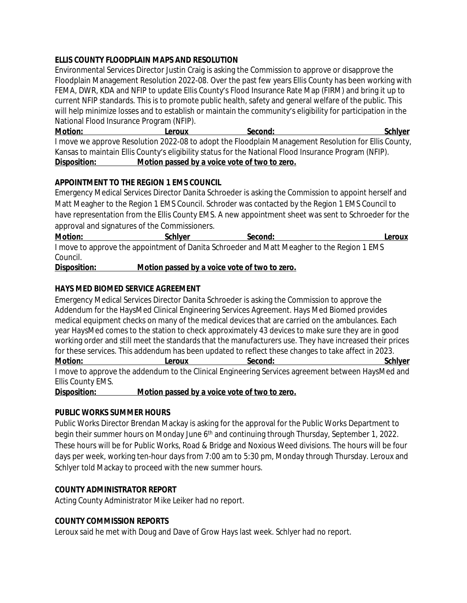## **ELLIS COUNTY FLOODPLAIN MAPS AND RESOLUTION**

Environmental Services Director Justin Craig is asking the Commission to approve or disapprove the Floodplain Management Resolution 2022-08. Over the past few years Ellis County has been working with FEMA, DWR, KDA and NFIP to update Ellis County's Flood Insurance Rate Map (FIRM) and bring it up to current NFIP standards. This is to promote public health, safety and general welfare of the public. This will help minimize losses and to establish or maintain the community's eligibility for participation in the National Flood Insurance Program (NFIP).

**Motion: Leroux Second: Schlyer** I move we approve Resolution 2022-08 to adopt the Floodplain Management Resolution for Ellis County, Kansas to maintain Ellis County's eligibility status for the National Flood Insurance Program (NFIP). **Disposition: Motion passed by a voice vote of two to zero.**

### **APPOINTMENT TO THE REGION 1 EMS COUNCIL**

Emergency Medical Services Director Danita Schroeder is asking the Commission to appoint herself and Matt Meagher to the Region 1 EMS Council. Schroder was contacted by the Region 1 EMS Council to have representation from the Ellis County EMS. A new appointment sheet was sent to Schroeder for the approval and signatures of the Commissioners.

**Motion: Schlyer Second: Leroux** I move to approve the appointment of Danita Schroeder and Matt Meagher to the Region 1 EMS Council.

**Disposition: Motion passed by a voice vote of two to zero.**

### **HAYS MED BIOMED SERVICE AGREEMENT**

Emergency Medical Services Director Danita Schroeder is asking the Commission to approve the Addendum for the HaysMed Clinical Engineering Services Agreement. Hays Med Biomed provides medical equipment checks on many of the medical devices that are carried on the ambulances. Each year HaysMed comes to the station to check approximately 43 devices to make sure they are in good working order and still meet the standards that the manufacturers use. They have increased their prices for these services. This addendum has been updated to reflect these changes to take affect in 2023. **Motion: Leroux Second: Schlyer** I move to approve the addendum to the Clinical Engineering Services agreement between HaysMed and Ellis County EMS.

**Disposition: Motion passed by a voice vote of two to zero.**

### **PUBLIC WORKS SUMMER HOURS**

Public Works Director Brendan Mackay is asking for the approval for the Public Works Department to begin their summer hours on Monday June 6<sup>th</sup> and continuing through Thursday, September 1, 2022. These hours will be for Public Works, Road & Bridge and Noxious Weed divisions. The hours will be four days per week, working ten-hour days from 7:00 am to 5:30 pm, Monday through Thursday. Leroux and Schlyer told Mackay to proceed with the new summer hours.

# **COUNTY ADMINISTRATOR REPORT**

Acting County Administrator Mike Leiker had no report.

# **COUNTY COMMISSION REPORTS**

Leroux said he met with Doug and Dave of Grow Hays last week. Schlyer had no report.